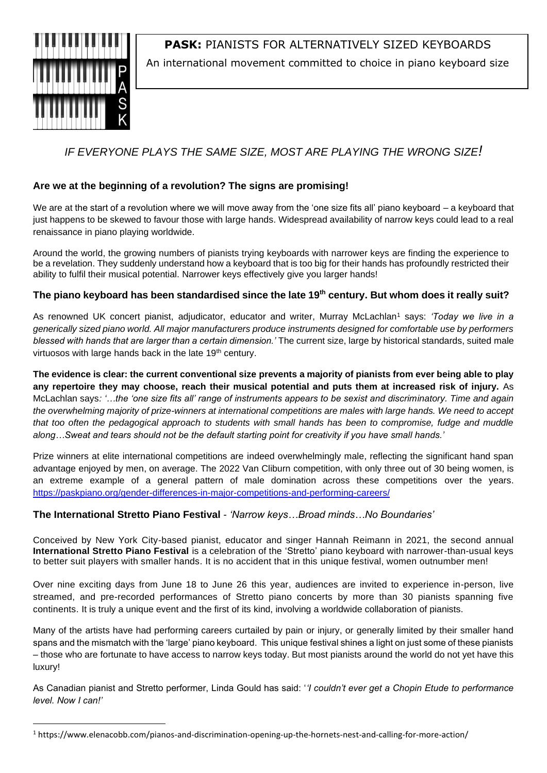

**PASK:** PIANISTS FOR ALTERNATIVELY SIZED KEYBOARDS

An international movement committed to choice in piano keyboard size

# *IF EVERYONE PLAYS THE SAME SIZE, MOST ARE PLAYING THE WRONG SIZE!*

# **Are we at the beginning of a revolution? The signs are promising!**

We are at the start of a revolution where we will move away from the 'one size fits all' piano keyboard – a keyboard that just happens to be skewed to favour those with large hands. Widespread availability of narrow keys could lead to a real renaissance in piano playing worldwide.

Around the world, the growing numbers of pianists trying keyboards with narrower keys are finding the experience to be a revelation. They suddenly understand how a keyboard that is too big for their hands has profoundly restricted their ability to fulfil their musical potential. Narrower keys effectively give you larger hands!

# **The piano keyboard has been standardised since the late 19th century. But whom does it really suit?**

As renowned UK concert pianist, adjudicator, educator and writer, Murray McLachlan<sup>1</sup> says: 'Today we live in a *generically sized piano world. All major manufacturers produce instruments designed for comfortable use by performers blessed with hands that are larger than a certain dimension.'* The current size, large by historical standards, suited male virtuosos with large hands back in the late 19<sup>th</sup> century.

**The evidence is clear: the current conventional size prevents a majority of pianists from ever being able to play any repertoire they may choose, reach their musical potential and puts them at increased risk of injury.** As McLachlan says*: '…the 'one size fits all' range of instruments appears to be sexist and discriminatory. Time and again the overwhelming majority of prize-winners at international competitions are males with large hands. We need to accept that too often the pedagogical approach to students with small hands has been to compromise, fudge and muddle along…Sweat and tears should not be the default starting point for creativity if you have small hands.'*

Prize winners at elite international competitions are indeed overwhelmingly male, reflecting the significant hand span advantage enjoyed by men, on average. The 2022 Van Cliburn competition, with only three out of 30 being women, is an extreme example of a general pattern of male domination across these competitions over the years. https://paskpiano.org/gender-differences-in-major-competitions-and-performing-careers/

# **The International Stretto Piano Festival** - *'Narrow keys…Broad minds…No Boundaries'*

Conceived by New York City-based pianist, educator and singer Hannah Reimann in 2021, the second annual **International Stretto Piano Festival** is a celebration of the 'Stretto' piano keyboard with narrower-than-usual keys to better suit players with smaller hands. It is no accident that in this unique festival, women outnumber men!

Over nine exciting days from June 18 to June 26 this year, audiences are invited to experience in-person, live streamed, and pre-recorded performances of Stretto piano concerts by more than 30 pianists spanning five continents. It is truly a unique event and the first of its kind, involving a worldwide collaboration of pianists.

Many of the artists have had performing careers curtailed by pain or injury, or generally limited by their smaller hand spans and the mismatch with the 'large' piano keyboard. This unique festival shines a light on just some of these pianists – those who are fortunate to have access to narrow keys today. But most pianists around the world do not yet have this luxury!

As Canadian pianist and Stretto performer, Linda Gould has said: '*'I couldn't ever get a Chopin Etude to performance level. Now I can!'*

<sup>1</sup> https://www.elenacobb.com/pianos-and-discrimination-opening-up-the-hornets-nest-and-calling-for-more-action/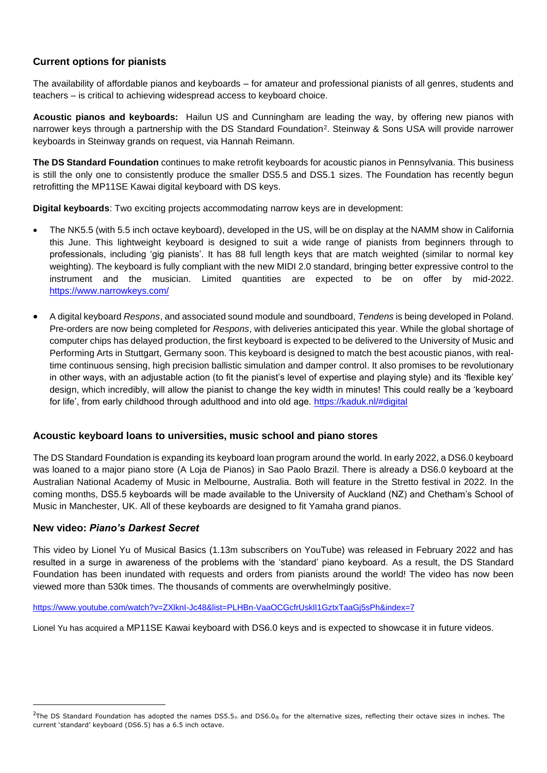# **Current options for pianists**

The availability of affordable pianos and keyboards – for amateur and professional pianists of all genres, students and teachers – is critical to achieving widespread access to keyboard choice.

**Acoustic pianos and keyboards:** Hailun US and Cunningham are leading the way, by offering new pianos with narrower keys through a partnership with the DS Standard Foundation<sup>2</sup>. Steinway & Sons USA will provide narrower keyboards in Steinway grands on request, via Hannah Reimann.

**The DS Standard Foundation** continues to make retrofit keyboards for acoustic pianos in Pennsylvania. This business is still the only one to consistently produce the smaller DS5.5 and DS5.1 sizes. The Foundation has recently begun retrofitting the MP11SE Kawai digital keyboard with DS keys.

**Digital keyboards**: Two exciting projects accommodating narrow keys are in development:

- The NK5.5 (with 5.5 inch octave keyboard), developed in the US, will be on display at the NAMM show in California this June. This lightweight keyboard is designed to suit a wide range of pianists from beginners through to professionals, including 'gig pianists'. It has 88 full length keys that are match weighted (similar to normal key weighting). The keyboard is fully compliant with the new MIDI 2.0 standard, bringing better expressive control to the instrument and the musician. Limited quantities are expected to be on offer by mid-2022. <https://www.narrowkeys.com/>
- A digital keyboard *Respons*, and associated sound module and soundboard, *Tendens* is being developed in Poland. Pre-orders are now being completed for *Respons*, with deliveries anticipated this year. While the global shortage of computer chips has delayed production, the first keyboard is expected to be delivered to the University of Music and Performing Arts in Stuttgart, Germany soon. This keyboard is designed to match the best acoustic pianos, with realtime continuous sensing, high precision ballistic simulation and damper control. It also promises to be revolutionary in other ways, with an adjustable action (to fit the pianist's level of expertise and playing style) and its 'flexible key' design, which incredibly, will allow the pianist to change the key width in minutes! This could really be a 'keyboard for life', from early childhood through adulthood and into old age. <https://kaduk.nl/#digital>

## **Acoustic keyboard loans to universities, music school and piano stores**

The DS Standard Foundation is expanding its keyboard loan program around the world. In early 2022, a DS6.0 keyboard was loaned to a major piano store (A Loja de Pianos) in Sao Paolo Brazil. There is already a DS6.0 keyboard at the Australian National Academy of Music in Melbourne, Australia. Both will feature in the Stretto festival in 2022. In the coming months, DS5.5 keyboards will be made available to the University of Auckland (NZ) and Chetham's School of Music in Manchester, UK. All of these keyboards are designed to fit Yamaha grand pianos.

#### **New video:** *Piano's Darkest Secret*

This video by Lionel Yu of Musical Basics (1.13m subscribers on YouTube) was released in February 2022 and has resulted in a surge in awareness of the problems with the 'standard' piano keyboard. As a result, the DS Standard Foundation has been inundated with requests and orders from pianists around the world! The video has now been viewed more than 530k times. The thousands of comments are overwhelmingly positive.

#### <https://www.youtube.com/watch?v=ZXlknI-Jc48&list=PLHBn-VaaOCGcfrUsklI1GztxTaaGj5sPh&index=7>

Lionel Yu has acquired a MP11SE Kawai keyboard with DS6.0 keys and is expected to showcase it in future videos.

<sup>&</sup>lt;sup>2</sup>The DS Standard Foundation has adopted the names DS5.5<sup>®</sup> and DS6.0<sup>®</sup> for the alternative sizes, reflecting their octave sizes in inches. The current 'standard' keyboard (DS6.5) has a 6.5 inch octave.